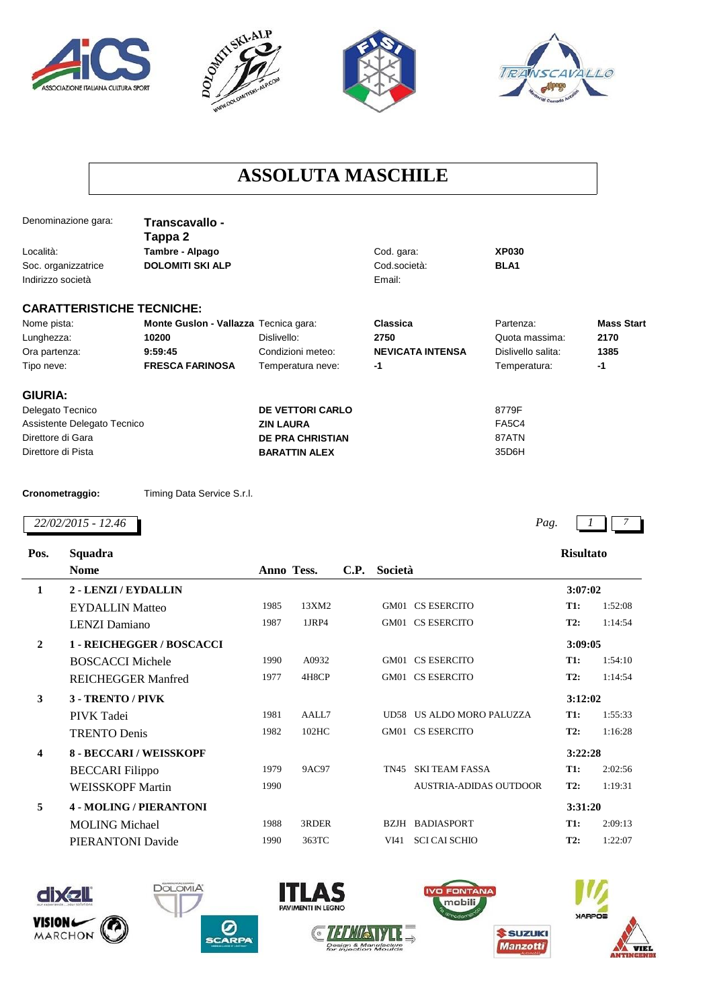







## **ASSOLUTA MASCHILE**

| Denominazione gara:              | Transcavallo -<br>Tappa 2             |                         |                         |                    |                   |
|----------------------------------|---------------------------------------|-------------------------|-------------------------|--------------------|-------------------|
| Località:                        | Tambre - Alpago                       |                         | Cod. gara:              | <b>XP030</b>       |                   |
| Soc. organizzatrice              | <b>DOLOMITI SKI ALP</b>               |                         | Cod.società:            | BLA1               |                   |
| Indirizzo società                |                                       |                         | Email:                  |                    |                   |
| <b>CARATTERISTICHE TECNICHE:</b> |                                       |                         |                         |                    |                   |
| Nome pista:                      | Monte Guslon - Vallazza Tecnica gara: |                         | Classica                | Partenza:          | <b>Mass Start</b> |
| Lunghezza:                       | 10200                                 | Dislivello:             | 2750                    | Quota massima:     | 2170              |
| Ora partenza:                    | 9:59:45                               | Condizioni meteo:       | <b>NEVICATA INTENSA</b> | Dislivello salita: | 1385              |
| Tipo neve:                       | <b>FRESCA FARINOSA</b>                | Temperatura neve:       | -1                      | Temperatura:       | $-1$              |
| <b>GIURIA:</b>                   |                                       |                         |                         |                    |                   |
| Delegato Tecnico                 |                                       | <b>DE VETTORI CARLO</b> |                         | 8779F              |                   |
| Assistente Delegato Tecnico      |                                       | <b>ZIN LAURA</b>        |                         | <b>FA5C4</b>       |                   |
| Direttore di Gara                |                                       | <b>DE PRA CHRISTIAN</b> |                         | 87ATN              |                   |
| Direttore di Pista               |                                       | <b>BARATTIN ALEX</b>    |                         | 35D6H              |                   |
| Cronometraggio:                  | Timing Data Service S.r.l.            |                         |                         |                    |                   |
| 22/02/2015 - 12.46               |                                       |                         |                         | Pag.               |                   |
|                                  |                                       |                         |                         |                    |                   |

| Pos.         | Squadra                        |            |              |      |         |                               | <b>Risultato</b> |         |
|--------------|--------------------------------|------------|--------------|------|---------|-------------------------------|------------------|---------|
|              | <b>Nome</b>                    | Anno Tess. |              | C.P. | Società |                               |                  |         |
| $\mathbf{1}$ | 2 - LENZI / EYDALLIN           |            |              |      |         |                               | 3:07:02          |         |
|              | <b>EYDALLIN Matteo</b>         | 1985       | 13XM2        |      |         | GM01 CS ESERCITO              | T1:              | 1:52:08 |
|              | <b>LENZI</b> Damiano           | 1987       | 1JRP4        |      |         | GM01 CS ESERCITO              | <b>T2:</b>       | 1:14:54 |
| $\mathbf{2}$ | 1 - REICHEGGER / BOSCACCI      |            |              |      |         |                               | 3:09:05          |         |
|              | <b>BOSCACCI Michele</b>        | 1990       | A0932        |      |         | GM01 CS ESERCITO              | T1:              | 1:54:10 |
|              | <b>REICHEGGER Manfred</b>      | 1977       | 4H8CP        |      |         | GM01 CS ESERCITO              | T2:              | 1:14:54 |
| 3            | 3 - TRENTO / PIVK              |            |              |      |         |                               | 3:12:02          |         |
|              | PIVK Tadei                     | 1981       | AALL7        |      |         | UD58 US ALDO MORO PALUZZA     | T1:              | 1:55:33 |
|              | <b>TRENTO Denis</b>            | 1982       | 102HC        |      |         | GM01 CS ESERCITO              | T2:              | 1:16:28 |
| 4            | <b>8 - BECCARI / WEISSKOPF</b> |            |              |      |         |                               | 3:22:28          |         |
|              | <b>BECCARI</b> Filippo         | 1979       | <b>9AC97</b> |      | TN45    | <b>SKI TEAM FASSA</b>         | <b>T1:</b>       | 2:02:56 |
|              | <b>WEISSKOPF Martin</b>        | 1990       |              |      |         | <b>AUSTRIA-ADIDAS OUTDOOR</b> | T2:              | 1:19:31 |
| 5            | <b>4 - MOLING / PIERANTONI</b> |            |              |      |         |                               | 3:31:20          |         |
|              | <b>MOLING Michael</b>          | 1988       | 3RDER        |      |         | <b>BZJH BADIASPORT</b>        | T1:              | 2:09:13 |
|              | PIERANTONI Davide              | 1990       | 363TC        |      | VI41    | <b>SCI CAI SCHIO</b>          | T2:              | 1:22:07 |
|              |                                |            |              |      |         |                               |                  |         |







**DOLOMIA** 



S

I I L Δ





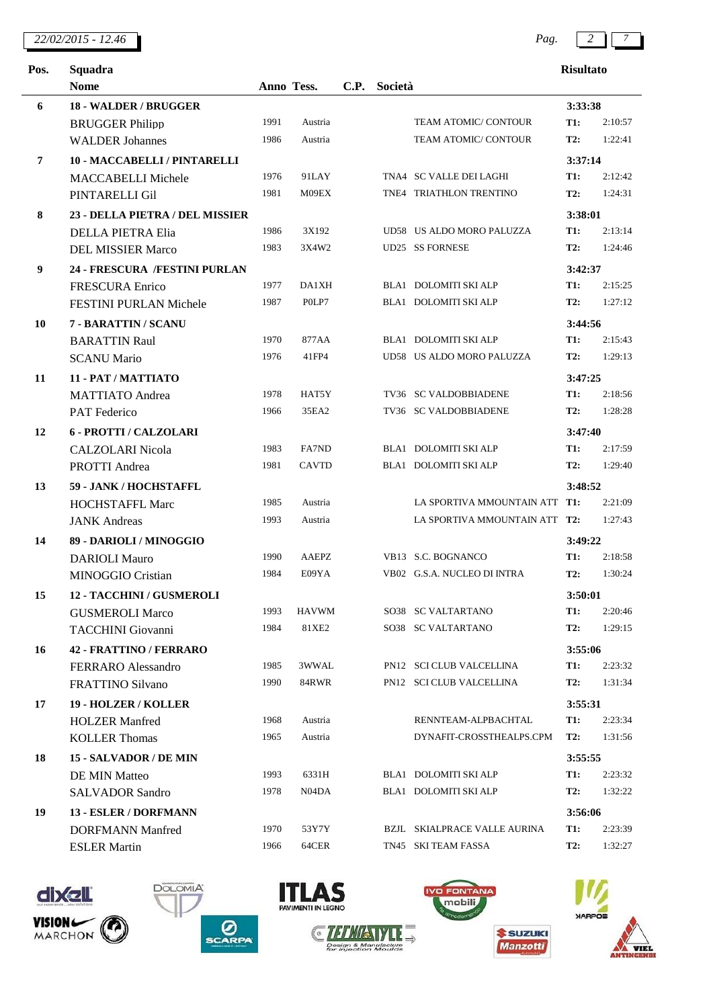| 22/02/2015<br>$-12.46$ | Pag | - |  |
|------------------------|-----|---|--|
|                        |     |   |  |

| Pos.           | Squadra                         |            |              |             |         |                               | <b>Risultato</b> |         |
|----------------|---------------------------------|------------|--------------|-------------|---------|-------------------------------|------------------|---------|
|                | <b>Nome</b>                     | Anno Tess. |              | <b>C.P.</b> | Società |                               |                  |         |
| 6              | 18 - WALDER / BRUGGER           |            |              |             |         |                               | 3:33:38          |         |
|                | <b>BRUGGER Philipp</b>          | 1991       | Austria      |             |         | TEAM ATOMIC/ CONTOUR          | <b>T1:</b>       | 2:10:57 |
|                | <b>WALDER Johannes</b>          | 1986       | Austria      |             |         | TEAM ATOMIC/ CONTOUR          | T2:              | 1:22:41 |
| $\overline{7}$ | 10 - MACCABELLI / PINTARELLI    |            |              |             |         |                               | 3:37:14          |         |
|                | <b>MACCABELLI Michele</b>       | 1976       | 91LAY        |             |         | TNA4 SC VALLE DEI LAGHI       | <b>T1:</b>       | 2:12:42 |
|                | PINTARELLI Gil                  | 1981       | M09EX        |             |         | TNE4 TRIATHLON TRENTINO       | T2:              | 1:24:31 |
| 8              | 23 - DELLA PIETRA / DEL MISSIER |            |              |             |         |                               | 3:38:01          |         |
|                | <b>DELLA PIETRA Elia</b>        | 1986       | 3X192        |             |         | UD58 US ALDO MORO PALUZZA     | <b>T1:</b>       | 2:13:14 |
|                | <b>DEL MISSIER Marco</b>        | 1983       | 3X4W2        |             |         | <b>UD25 SS FORNESE</b>        | T2:              | 1:24:46 |
| 9              | 24 - FRESCURA /FESTINI PURLAN   |            |              |             |         |                               | 3:42:37          |         |
|                | <b>FRESCURA Enrico</b>          | 1977       | <b>DA1XH</b> |             |         | BLA1 DOLOMITI SKI ALP         | <b>T1:</b>       | 2:15:25 |
|                | FESTINI PURLAN Michele          | 1987       | POLP7        |             |         | BLA1 DOLOMITI SKI ALP         | T2:              | 1:27:12 |
| 10             | 7 - BARATTIN / SCANU            |            |              |             |         |                               | 3:44:56          |         |
|                | <b>BARATTIN Raul</b>            | 1970       | 877AA        |             |         | BLA1 DOLOMITI SKI ALP         | <b>T1:</b>       | 2:15:43 |
|                | <b>SCANU Mario</b>              | 1976       | 41FP4        |             |         | UD58 US ALDO MORO PALUZZA     | T2:              | 1:29:13 |
| 11             | 11 - PAT / MATTIATO             |            |              |             |         |                               | 3:47:25          |         |
|                | <b>MATTIATO</b> Andrea          | 1978       | HAT5Y        |             |         | TV36 SC VALDOBBIADENE         | <b>T1:</b>       | 2:18:56 |
|                | <b>PAT</b> Federico             | 1966       | 35EA2        |             |         | TV36 SC VALDOBBIADENE         | <b>T2:</b>       | 1:28:28 |
| 12             | <b>6 - PROTTI / CALZOLARI</b>   |            |              |             |         |                               | 3:47:40          |         |
|                | <b>CALZOLARI</b> Nicola         | 1983       | FA7ND        |             |         | BLA1 DOLOMITI SKI ALP         | T1:              | 2:17:59 |
|                | PROTTI Andrea                   | 1981       | <b>CAVTD</b> |             |         | BLA1 DOLOMITI SKI ALP         | T2:              | 1:29:40 |
| 13             | 59 - JANK / HOCHSTAFFL          |            |              |             |         |                               | 3:48:52          |         |
|                | <b>HOCHSTAFFL Marc</b>          | 1985       | Austria      |             |         | LA SPORTIVA MMOUNTAIN ATT T1: |                  | 2:21:09 |
|                | <b>JANK</b> Andreas             | 1993       | Austria      |             |         | LA SPORTIVA MMOUNTAIN ATT T2: |                  | 1:27:43 |
| 14             | 89 - DARIOLI / MINOGGIO         |            |              |             |         |                               | 3:49:22          |         |
|                | <b>DARIOLI Mauro</b>            | 1990       | <b>AAEPZ</b> |             |         | VB13 S.C. BOGNANCO            | <b>T1:</b>       | 2:18:58 |
|                | <b>MINOGGIO Cristian</b>        | 1984       | E09YA        |             |         | VB02 G.S.A. NUCLEO DI INTRA   | T2:              | 1:30:24 |
| 15             | 12 - TACCHINI / GUSMEROLI       |            |              |             |         |                               | 3:50:01          |         |
|                | <b>GUSMEROLI Marco</b>          | 1993       | <b>HAVWM</b> |             |         | SO38 SC VALTARTANO            | <b>T1:</b>       | 2:20:46 |
|                | <b>TACCHINI</b> Giovanni        | 1984       | 81XE2        |             |         | SO38 SC VALTARTANO            | T2:              | 1:29:15 |
| 16             | <b>42 - FRATTINO / FERRARO</b>  |            |              |             |         |                               | 3:55:06          |         |
|                | FERRARO Alessandro              | 1985       | 3WWAL        |             |         | PN12 SCI CLUB VALCELLINA      | <b>T1:</b>       | 2:23:32 |
|                | FRATTINO Silvano                | 1990       | 84RWR        |             |         | PN12 SCI CLUB VALCELLINA      | T2:              | 1:31:34 |
| 17             | 19 - HOLZER / KOLLER            |            |              |             |         |                               | 3:55:31          |         |
|                | <b>HOLZER Manfred</b>           | 1968       | Austria      |             |         | RENNTEAM-ALPBACHTAL           | <b>T1:</b>       | 2:23:34 |
|                | <b>KOLLER Thomas</b>            | 1965       | Austria      |             |         | DYNAFIT-CROSSTHEALPS.CPM      | T2:              | 1:31:56 |
| 18             | 15 - SALVADOR / DE MIN          |            |              |             |         |                               | 3:55:55          |         |
|                | DE MIN Matteo                   | 1993       | 6331H        |             |         | BLA1 DOLOMITI SKI ALP         | <b>T1:</b>       | 2:23:32 |
|                | <b>SALVADOR Sandro</b>          | 1978       | N04DA        |             |         | BLA1 DOLOMITI SKI ALP         | T2:              | 1:32:22 |
| 19             | 13 - ESLER / DORFMANN           |            |              |             |         |                               | 3:56:06          |         |
|                | <b>DORFMANN Manfred</b>         | 1970       | 53Y7Y        |             |         | BZJL SKIALPRACE VALLE AURINA  | T1:              | 2:23:39 |
|                | <b>ESLER Martin</b>             | 1966       | 64CER        |             |         | TN45 SKI TEAM FASSA           | T2:              | 1:32:27 |
|                |                                 |            |              |             |         |                               |                  |         |













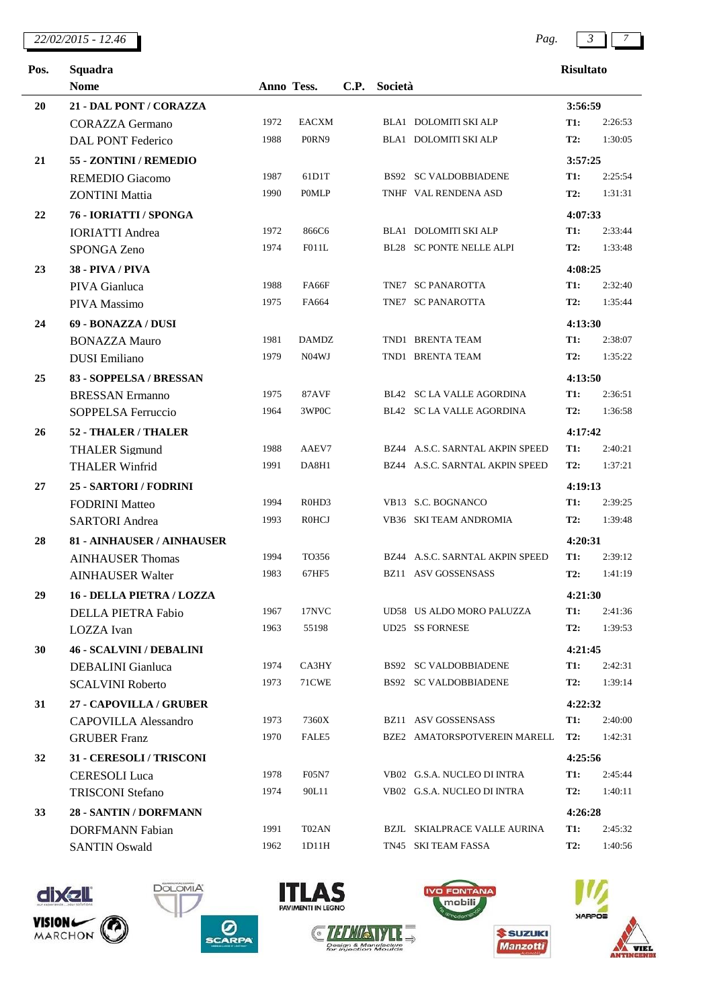## *22/02/2015 - 12.46 Pag. 3 7*

| Pos. | Squadra                         |            |              |             |         |                                     | <b>Risultato</b> |         |
|------|---------------------------------|------------|--------------|-------------|---------|-------------------------------------|------------------|---------|
|      | <b>Nome</b>                     | Anno Tess. |              | <b>C.P.</b> | Società |                                     |                  |         |
| 20   | 21 - DAL PONT / CORAZZA         |            |              |             |         |                                     | 3:56:59          |         |
|      | <b>CORAZZA Germano</b>          | 1972       | EACXM        |             |         | BLA1 DOLOMITI SKI ALP               | <b>T1:</b>       | 2:26:53 |
|      | <b>DAL PONT Federico</b>        | 1988       | P0RN9        |             |         | BLA1 DOLOMITI SKI ALP               | T2:              | 1:30:05 |
| 21   | 55 - ZONTINI / REMEDIO          |            |              |             |         |                                     | 3:57:25          |         |
|      | <b>REMEDIO Giacomo</b>          | 1987       | 61D1T        |             |         | <b>BS92 SC VALDOBBIADENE</b>        | T1:              | 2:25:54 |
|      | <b>ZONTINI</b> Mattia           | 1990       | <b>POMLP</b> |             |         | TNHF VAL RENDENA ASD                | T2:              | 1:31:31 |
| 22   | 76 - IORIATTI / SPONGA          |            |              |             |         |                                     | 4:07:33          |         |
|      | <b>IORIATTI</b> Andrea          | 1972       | 866C6        |             |         | BLA1 DOLOMITI SKI ALP               | <b>T1:</b>       | 2:33:44 |
|      | SPONGA Zeno                     | 1974       | F011L        |             |         | BL28 SC PONTE NELLE ALPI            | T2:              | 1:33:48 |
| 23   | <b>38 - PIVA / PIVA</b>         |            |              |             |         |                                     | 4:08:25          |         |
|      | PIVA Gianluca                   | 1988       | FA66F        |             |         | TNE7 SC PANAROTTA                   | <b>T1:</b>       | 2:32:40 |
|      | PIVA Massimo                    | 1975       | FA664        |             |         | TNE7 SC PANAROTTA                   | T2:              | 1:35:44 |
| 24   | 69 - BONAZZA / DUSI             |            |              |             |         |                                     | 4:13:30          |         |
|      | <b>BONAZZA Mauro</b>            | 1981       | <b>DAMDZ</b> |             |         | TND1 BRENTA TEAM                    | <b>T1:</b>       | 2:38:07 |
|      | <b>DUSI</b> Emiliano            | 1979       | N04WJ        |             |         | TND1 BRENTA TEAM                    | <b>T2:</b>       | 1:35:22 |
| 25   | 83 - SOPPELSA / BRESSAN         |            |              |             |         |                                     | 4:13:50          |         |
|      | <b>BRESSAN Ermanno</b>          | 1975       | 87AVF        |             |         | <b>BL42 SC LA VALLE AGORDINA</b>    | <b>T1:</b>       | 2:36:51 |
|      | SOPPELSA Ferruccio              | 1964       | 3WP0C        |             |         | BL42 SC LA VALLE AGORDINA           | T2:              | 1:36:58 |
| 26   | 52 - THALER / THALER            |            |              |             |         |                                     | 4:17:42          |         |
|      | <b>THALER Sigmund</b>           | 1988       | AAEV7        |             |         | BZ44 A.S.C. SARNTAL AKPIN SPEED     | T1:              | 2:40:21 |
|      | <b>THALER Winfrid</b>           | 1991       | DA8H1        |             |         | BZ44 A.S.C. SARNTAL AKPIN SPEED     | <b>T2:</b>       | 1:37:21 |
| 27   | 25 - SARTORI / FODRINI          |            |              |             |         |                                     | 4:19:13          |         |
|      | <b>FODRINI</b> Matteo           | 1994       | R0HD3        |             |         | VB13 S.C. BOGNANCO                  | <b>T1:</b>       | 2:39:25 |
|      | <b>SARTORI</b> Andrea           | 1993       | <b>R0HCJ</b> |             |         | VB36 SKI TEAM ANDROMIA              | T2:              | 1:39:48 |
| 28   | 81 - AINHAUSER / AINHAUSER      |            |              |             |         |                                     | 4:20:31          |         |
|      | <b>AINHAUSER Thomas</b>         | 1994       | TO356        |             |         | BZ44 A.S.C. SARNTAL AKPIN SPEED     | T1:              | 2:39:12 |
|      | <b>AINHAUSER Walter</b>         | 1983       | 67HF5        |             |         | <b>BZ11 ASV GOSSENSASS</b>          | T2:              | 1:41:19 |
| 29   | 16 - DELLA PIETRA / LOZZA       |            |              |             |         |                                     | 4:21:30          |         |
|      | <b>DELLA PIETRA Fabio</b>       | 1967       | 17NVC        |             |         | UD58 US ALDO MORO PALUZZA           | <b>T1:</b>       | 2:41:36 |
|      | LOZZA Ivan                      | 1963       | 55198        |             |         | <b>UD25 SS FORNESE</b>              | T2:              | 1:39:53 |
| 30   | <b>46 - SCALVINI / DEBALINI</b> |            |              |             |         |                                     | 4:21:45          |         |
|      | <b>DEBALINI</b> Gianluca        | 1974       | CA3HY        |             |         | <b>BS92 SC VALDOBBIADENE</b>        | <b>T1:</b>       | 2:42:31 |
|      | <b>SCALVINI Roberto</b>         | 1973       | 71CWE        |             |         | <b>BS92 SC VALDOBBIADENE</b>        | <b>T2:</b>       | 1:39:14 |
| 31   | 27 - CAPOVILLA / GRUBER         |            |              |             |         |                                     | 4:22:32          |         |
|      | <b>CAPOVILLA Alessandro</b>     | 1973       | 7360X        |             |         | BZ11 ASV GOSSENSASS                 | <b>T1:</b>       | 2:40:00 |
|      | <b>GRUBER Franz</b>             | 1970       | FALE5        |             |         | BZE2 AMATORSPOTVEREIN MARELL        | <b>T2:</b>       | 1:42:31 |
| 32   | 31 - CERESOLI / TRISCONI        |            |              |             |         |                                     | 4:25:56          |         |
|      | <b>CERESOLI</b> Luca            | 1978       | <b>F05N7</b> |             |         | VB02 G.S.A. NUCLEO DI INTRA         | <b>T1:</b>       | 2:45:44 |
|      | <b>TRISCONI Stefano</b>         | 1974       | 90L11        |             |         | VB02 G.S.A. NUCLEO DI INTRA         | T2:              | 1:40:11 |
| 33   | 28 - SANTIN / DORFMANN          |            |              |             |         |                                     | 4:26:28          |         |
|      | <b>DORFMANN</b> Fabian          | 1991       | T02AN        |             |         | <b>BZJL SKIALPRACE VALLE AURINA</b> | <b>T1:</b>       | 2:45:32 |
|      | <b>SANTIN Oswald</b>            | 1962       | 1D11H        |             |         | TN45 SKI TEAM FASSA                 | <b>T2:</b>       | 1:40:56 |
|      |                                 |            |              |             |         |                                     |                  |         |













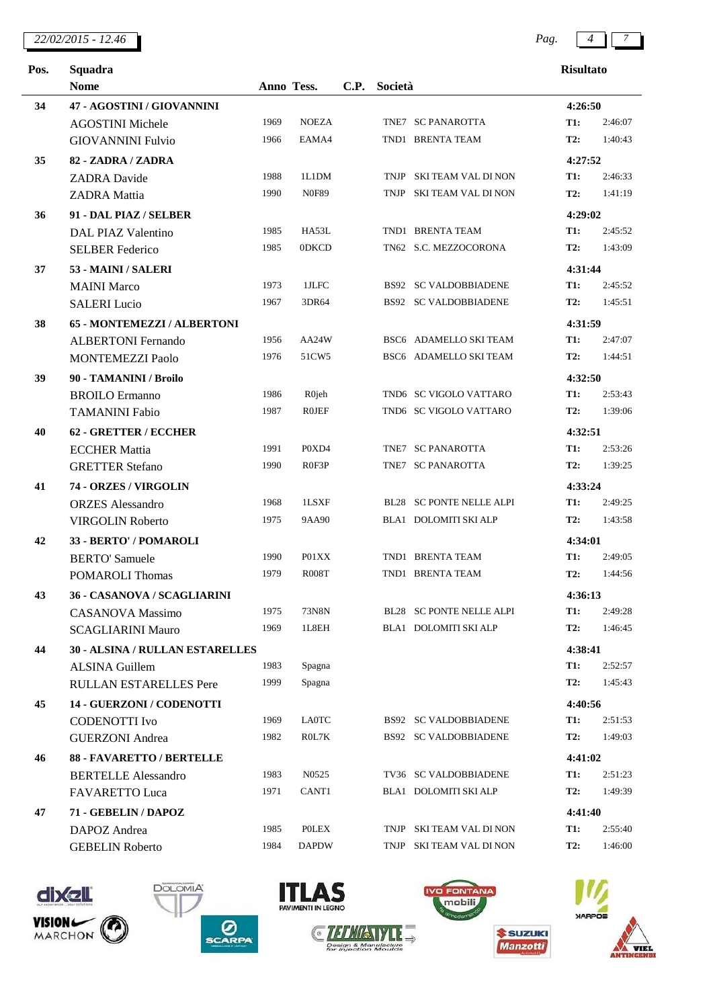### *22/02/2015 - 12.46 Pag. 4 7*

| Pos. | Squadra                         |            |              |      |         |                                 | <b>Risultato</b> |         |
|------|---------------------------------|------------|--------------|------|---------|---------------------------------|------------------|---------|
|      | <b>Nome</b>                     | Anno Tess. |              | C.P. | Società |                                 |                  |         |
| 34   | 47 - AGOSTINI / GIOVANNINI      |            |              |      |         |                                 | 4:26:50          |         |
|      | <b>AGOSTINI Michele</b>         | 1969       | <b>NOEZA</b> |      |         | TNE7 SC PANAROTTA               | <b>T1:</b>       | 2:46:07 |
|      | <b>GIOVANNINI Fulvio</b>        | 1966       | EAMA4        |      |         | TND1 BRENTA TEAM                | T2:              | 1:40:43 |
| 35   | 82 - ZADRA / ZADRA              |            |              |      |         |                                 | 4:27:52          |         |
|      | <b>ZADRA</b> Davide             | 1988       | 1L1DM        |      |         | TNJP SKI TEAM VAL DI NON        | <b>T1:</b>       | 2:46:33 |
|      | <b>ZADRA</b> Mattia             | 1990       | <b>N0F89</b> |      |         | TNJP SKI TEAM VAL DI NON        | T2:              | 1:41:19 |
| 36   | 91 - DAL PIAZ / SELBER          |            |              |      |         |                                 | 4:29:02          |         |
|      | <b>DAL PIAZ Valentino</b>       | 1985       | HA53L        |      |         | TND1 BRENTA TEAM                | <b>T1:</b>       | 2:45:52 |
|      | <b>SELBER Federico</b>          | 1985       | 0DKCD        |      |         | TN62 S.C. MEZZOCORONA           | <b>T2:</b>       | 1:43:09 |
| 37   | 53 - MAINI / SALERI             |            |              |      |         |                                 | 4:31:44          |         |
|      | <b>MAINI</b> Marco              | 1973       | 1JLFC        |      |         | <b>BS92 SC VALDOBBIADENE</b>    | <b>T1:</b>       | 2:45:52 |
|      | <b>SALERI</b> Lucio             | 1967       | 3DR64        |      |         | <b>BS92 SC VALDOBBIADENE</b>    | T2:              | 1:45:51 |
| 38   | 65 - MONTEMEZZI / ALBERTONI     |            |              |      |         |                                 | 4:31:59          |         |
|      | <b>ALBERTONI Fernando</b>       | 1956       | AA24W        |      |         | BSC6 ADAMELLO SKI TEAM          | <b>T1:</b>       | 2:47:07 |
|      | <b>MONTEMEZZI Paolo</b>         | 1976       | 51CW5        |      |         | BSC6 ADAMELLO SKI TEAM          | T2:              | 1:44:51 |
| 39   | 90 - TAMANINI / Broilo          |            |              |      |         |                                 | 4:32:50          |         |
|      | <b>BROILO</b> Ermanno           | 1986       | R0jeh        |      |         | TND6 SC VIGOLO VATTARO          | T1:              | 2:53:43 |
|      | <b>TAMANINI Fabio</b>           | 1987       | <b>ROJEF</b> |      |         | TND6 SC VIGOLO VATTARO          | T2:              | 1:39:06 |
| 40   | <b>62 - GRETTER / ECCHER</b>    |            |              |      |         |                                 | 4:32:51          |         |
|      | <b>ECCHER Mattia</b>            | 1991       | P0XD4        |      |         | TNE7 SC PANAROTTA               | T1:              | 2:53:26 |
|      | <b>GRETTER Stefano</b>          | 1990       | R0F3P        |      |         | TNE7 SC PANAROTTA               | <b>T2:</b>       | 1:39:25 |
| 41   | 74 - ORZES / VIRGOLIN           |            |              |      |         |                                 | 4:33:24          |         |
|      | <b>ORZES</b> Alessandro         | 1968       | 1LSXF        |      |         | <b>BL28 SC PONTE NELLE ALPI</b> | <b>T1:</b>       | 2:49:25 |
|      | <b>VIRGOLIN Roberto</b>         | 1975       | 9AA90        |      |         | BLA1 DOLOMITI SKI ALP           | <b>T2:</b>       | 1:43:58 |
| 42   | 33 - BERTO' / POMAROLI          |            |              |      |         |                                 | 4:34:01          |         |
|      | <b>BERTO' Samuele</b>           | 1990       | P01XX        |      |         | TND1 BRENTA TEAM                | <b>T1:</b>       | 2:49:05 |
|      | <b>POMAROLI Thomas</b>          | 1979       | <b>R008T</b> |      |         | TND1 BRENTA TEAM                | <b>T2:</b>       | 1:44:56 |
| 43   | 36 - CASANOVA / SCAGLIARINI     |            |              |      |         |                                 | 4:36:13          |         |
|      | <b>CASANOVA</b> Massimo         | 1975       | 73N8N        |      |         | BL28 SC PONTE NELLE ALPI        | <b>T1:</b>       | 2:49:28 |
|      | <b>SCAGLIARINI Mauro</b>        | 1969       | 1L8EH        |      |         | BLA1 DOLOMITI SKI ALP           | T2:              | 1:46:45 |
| 44   | 30 - ALSINA / RULLAN ESTARELLES |            |              |      |         |                                 | 4:38:41          |         |
|      | <b>ALSINA Guillem</b>           | 1983       | Spagna       |      |         |                                 | <b>T1:</b>       | 2:52:57 |
|      | <b>RULLAN ESTARELLES Pere</b>   | 1999       | Spagna       |      |         |                                 | <b>T2:</b>       | 1:45:43 |
| 45   | 14 - GUERZONI / CODENOTTI       |            |              |      |         |                                 | 4:40:56          |         |
|      | <b>CODENOTTI</b> Ivo            | 1969       | <b>LA0TC</b> |      |         | <b>BS92 SC VALDOBBIADENE</b>    | <b>T1:</b>       | 2:51:53 |
|      | <b>GUERZONI</b> Andrea          | 1982       | R0L7K        |      |         | <b>BS92 SC VALDOBBIADENE</b>    | T2:              | 1:49:03 |
| 46   | 88 - FAVARETTO / BERTELLE       |            |              |      |         |                                 | 4:41:02          |         |
|      | <b>BERTELLE Alessandro</b>      | 1983       | N0525        |      |         | TV36 SC VALDOBBIADENE           | T1:              | 2:51:23 |
|      | FAVARETTO Luca                  | 1971       | CANT1        |      |         | BLA1 DOLOMITI SKI ALP           | T2:              | 1:49:39 |
| 47   | 71 - GEBELIN / DAPOZ            |            |              |      |         |                                 | 4:41:40          |         |
|      | DAPOZ Andrea                    | 1985       | <b>POLEX</b> |      |         | TNJP SKI TEAM VAL DI NON        | T1:              | 2:55:40 |
|      | <b>GEBELIN Roberto</b>          | 1984       | <b>DAPDW</b> |      |         | TNJP SKI TEAM VAL DI NON        | <b>T2:</b>       | 1:46:00 |













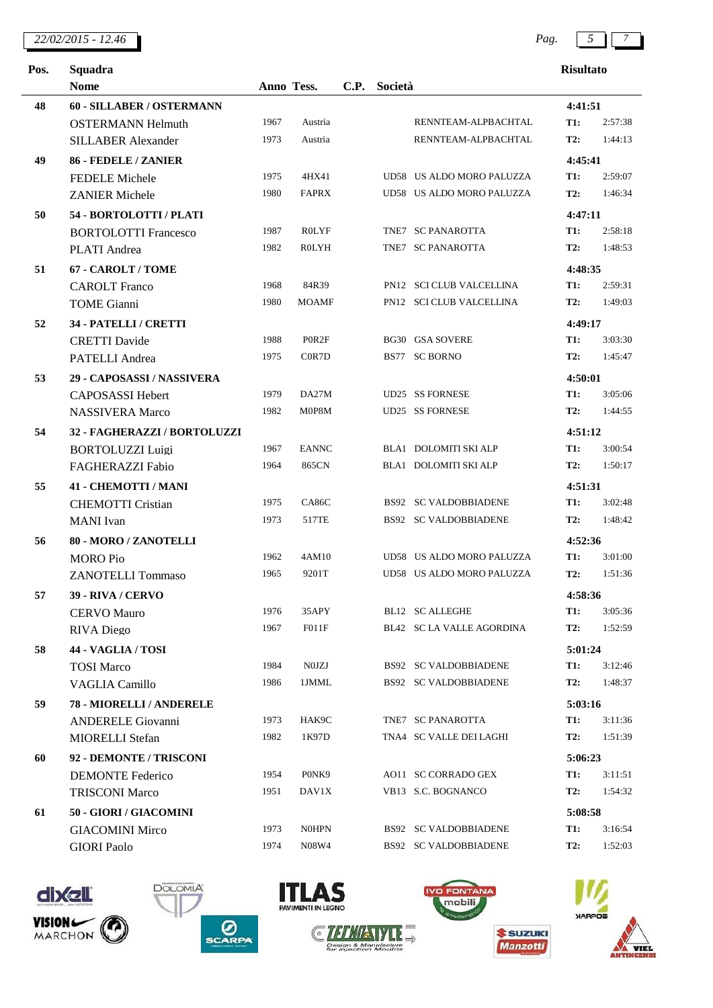| 22/02/2015 - 12.46 | Pag |  |
|--------------------|-----|--|
|                    |     |  |

| $\sim$ |  |
|--------|--|
|        |  |

| Risultato |  |
|-----------|--|

| Pos. | Squadra                      |      |              |  |            |                              |            | <b>Risultato</b> |  |  |  |
|------|------------------------------|------|--------------|--|------------|------------------------------|------------|------------------|--|--|--|
|      | <b>Nome</b>                  |      |              |  | Anno Tess. |                              |            | C.P. Società     |  |  |  |
| 48   | 60 - SILLABER / OSTERMANN    |      |              |  |            |                              | 4:41:51    |                  |  |  |  |
|      | <b>OSTERMANN Helmuth</b>     | 1967 | Austria      |  |            | RENNTEAM-ALPBACHTAL          | <b>T1:</b> | 2:57:38          |  |  |  |
|      | <b>SILLABER Alexander</b>    | 1973 | Austria      |  |            | RENNTEAM-ALPBACHTAL          | <b>T2:</b> | 1:44:13          |  |  |  |
| 49   | 86 - FEDELE / ZANIER         |      |              |  |            |                              | 4:45:41    |                  |  |  |  |
|      | <b>FEDELE</b> Michele        | 1975 | 4HX41        |  |            | UD58 US ALDO MORO PALUZZA    | <b>T1:</b> | 2:59:07          |  |  |  |
|      | <b>ZANIER Michele</b>        | 1980 | <b>FAPRX</b> |  |            | UD58 US ALDO MORO PALUZZA    | T2:        | 1:46:34          |  |  |  |
| 50   | 54 - BORTOLOTTI / PLATI      |      |              |  |            |                              | 4:47:11    |                  |  |  |  |
|      | <b>BORTOLOTTI Francesco</b>  | 1987 | <b>ROLYF</b> |  |            | TNE7 SC PANAROTTA            | <b>T1:</b> | 2:58:18          |  |  |  |
|      | <b>PLATI</b> Andrea          | 1982 | <b>ROLYH</b> |  |            | TNE7 SC PANAROTTA            | T2:        | 1:48:53          |  |  |  |
| 51   | 67 - CAROLT / TOME           |      |              |  |            |                              | 4:48:35    |                  |  |  |  |
|      | <b>CAROLT</b> Franco         | 1968 | 84R39        |  |            | PN12 SCI CLUB VALCELLINA     | <b>T1:</b> | 2:59:31          |  |  |  |
|      | <b>TOME Gianni</b>           | 1980 | <b>MOAMF</b> |  |            | PN12 SCI CLUB VALCELLINA     | T2:        | 1:49:03          |  |  |  |
| 52   | 34 - PATELLI / CRETTI        |      |              |  |            |                              | 4:49:17    |                  |  |  |  |
|      | <b>CRETTI</b> Davide         | 1988 | P0R2F        |  |            | <b>BG30 GSA SOVERE</b>       | <b>T1:</b> | 3:03:30          |  |  |  |
|      | <b>PATELLI</b> Andrea        | 1975 | C0R7D        |  |            | BS77 SC BORNO                | <b>T2:</b> | 1:45:47          |  |  |  |
| 53   | 29 - CAPOSASSI / NASSIVERA   |      |              |  |            |                              | 4:50:01    |                  |  |  |  |
|      | CAPOSASSI Hebert             | 1979 | DA27M        |  |            | <b>UD25 SS FORNESE</b>       | <b>T1:</b> | 3:05:06          |  |  |  |
|      | <b>NASSIVERA Marco</b>       | 1982 | M0P8M        |  |            | <b>UD25 SS FORNESE</b>       | T2:        | 1:44:55          |  |  |  |
| 54   | 32 - FAGHERAZZI / BORTOLUZZI |      |              |  |            |                              | 4:51:12    |                  |  |  |  |
|      | <b>BORTOLUZZI Luigi</b>      | 1967 | <b>EANNC</b> |  |            | BLA1 DOLOMITI SKI ALP        | <b>T1:</b> | 3:00:54          |  |  |  |
|      | FAGHERAZZI Fabio             | 1964 | 865CN        |  |            | BLA1 DOLOMITI SKI ALP        | <b>T2:</b> | 1:50:17          |  |  |  |
| 55   | 41 - CHEMOTTI / MANI         |      |              |  |            |                              | 4:51:31    |                  |  |  |  |
|      | <b>CHEMOTTI Cristian</b>     | 1975 | CA86C        |  |            | <b>BS92 SC VALDOBBIADENE</b> | T1:        | 3:02:48          |  |  |  |
|      | <b>MANI</b> Ivan             | 1973 | 517TE        |  |            | <b>BS92 SC VALDOBBIADENE</b> | <b>T2:</b> | 1:48:42          |  |  |  |
| 56   | 80 - MORO / ZANOTELLI        |      |              |  |            |                              | 4:52:36    |                  |  |  |  |
|      | <b>MORO</b> Pio              | 1962 | 4AM10        |  |            | UD58 US ALDO MORO PALUZZA    | <b>T1:</b> | 3:01:00          |  |  |  |
|      | <b>ZANOTELLI Tommaso</b>     | 1965 | 9201T        |  |            | UD58 US ALDO MORO PALUZZA    | <b>T2:</b> | 1:51:36          |  |  |  |
| 57   | 39 - RIVA / CERVO            |      |              |  |            |                              | 4:58:36    |                  |  |  |  |
|      | <b>CERVO</b> Mauro           | 1976 | 35APY        |  |            | <b>BL12 SC ALLEGHE</b>       | <b>T1:</b> | 3:05:36          |  |  |  |
|      | <b>RIVA</b> Diego            | 1967 | F011F        |  |            | BL42 SC LA VALLE AGORDINA    | <b>T2:</b> | 1:52:59          |  |  |  |
| 58   | 44 - VAGLIA / TOSI           |      |              |  |            |                              | 5:01:24    |                  |  |  |  |
|      | <b>TOSI Marco</b>            | 1984 | N0JZJ        |  |            | <b>BS92 SC VALDOBBIADENE</b> | <b>T1:</b> | 3:12:46          |  |  |  |
|      | <b>VAGLIA Camillo</b>        | 1986 | 1JMML        |  |            | <b>BS92 SC VALDOBBIADENE</b> | <b>T2:</b> | 1:48:37          |  |  |  |
| 59   | 78 - MIORELLI / ANDERELE     |      |              |  |            |                              | 5:03:16    |                  |  |  |  |
|      | <b>ANDERELE Giovanni</b>     | 1973 | HAK9C        |  |            | TNE7 SC PANAROTTA            | <b>T1:</b> | 3:11:36          |  |  |  |
|      | <b>MIORELLI Stefan</b>       | 1982 | 1K97D        |  |            | TNA4 SC VALLE DEI LAGHI      | <b>T2:</b> | 1:51:39          |  |  |  |
| 60   | 92 - DEMONTE / TRISCONI      |      |              |  |            |                              | 5:06:23    |                  |  |  |  |
|      | <b>DEMONTE Federico</b>      | 1954 | P0NK9        |  |            | AO11 SC CORRADO GEX          | <b>T1:</b> | 3:11:51          |  |  |  |
|      | <b>TRISCONI Marco</b>        | 1951 | DAV1X        |  |            | VB13 S.C. BOGNANCO           | <b>T2:</b> | 1:54:32          |  |  |  |
| 61   | 50 - GIORI / GIACOMINI       |      |              |  |            |                              | 5:08:58    |                  |  |  |  |
|      | <b>GIACOMINI Mirco</b>       | 1973 | <b>N0HPN</b> |  |            | <b>BS92 SC VALDOBBIADENE</b> | <b>T1:</b> | 3:16:54          |  |  |  |
|      | <b>GIORI Paolo</b>           | 1974 | N08W4        |  |            | <b>BS92 SC VALDOBBIADENE</b> | <b>T2:</b> | 1:52:03          |  |  |  |
|      |                              |      |              |  |            |                              |            |                  |  |  |  |













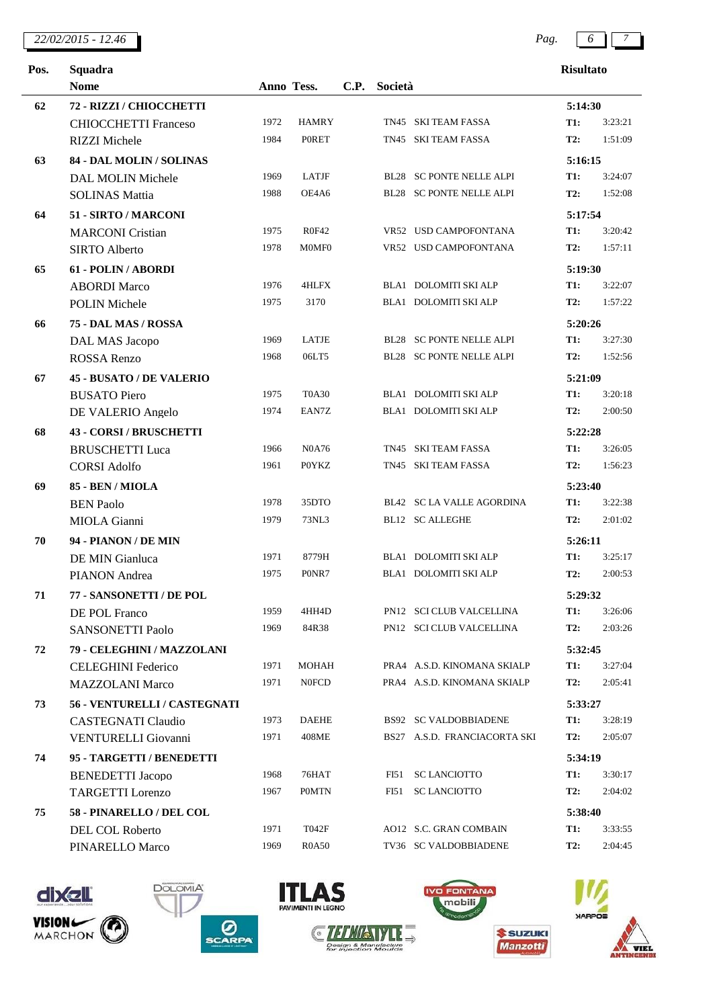*22/02/2015 - 12.46 Pag. 6 7*

 $\overline{a}$ 

| × |
|---|
|---|



| <b>Risultato</b> |  |
|------------------|--|
|                  |  |

| Squadra<br>Pos. |                                 |      |              |      | <b>Risultato</b> |                                 |            |         |
|-----------------|---------------------------------|------|--------------|------|------------------|---------------------------------|------------|---------|
|                 | <b>Nome</b><br>Anno Tess.       |      |              | C.P. |                  | Società                         |            |         |
| 62              | 72 - RIZZI / CHIOCCHETTI        |      |              |      |                  |                                 | 5:14:30    |         |
|                 | <b>CHIOCCHETTI Franceso</b>     | 1972 | <b>HAMRY</b> |      |                  | TN45 SKI TEAM FASSA             | <b>T1:</b> | 3:23:21 |
|                 | <b>RIZZI</b> Michele            | 1984 | <b>PORET</b> |      |                  | TN45 SKI TEAM FASSA             | <b>T2:</b> | 1:51:09 |
| 63              | 84 - DAL MOLIN / SOLINAS        |      |              |      |                  |                                 | 5:16:15    |         |
|                 | <b>DAL MOLIN Michele</b>        | 1969 | <b>LATJF</b> |      |                  | BL28 SC PONTE NELLE ALPI        | <b>T1:</b> | 3:24:07 |
|                 | <b>SOLINAS Mattia</b>           | 1988 | OE4A6        |      |                  | BL28 SC PONTE NELLE ALPI        | T2:        | 1:52:08 |
| 64              | 51 - SIRTO / MARCONI            |      |              |      |                  |                                 | 5:17:54    |         |
|                 | <b>MARCONI</b> Cristian         | 1975 | <b>R0F42</b> |      |                  | VR52 USD CAMPOFONTANA           | <b>T1:</b> | 3:20:42 |
|                 | <b>SIRTO Alberto</b>            | 1978 | M0MF0        |      |                  | VR52 USD CAMPOFONTANA           | T2:        | 1:57:11 |
| 65              | 61 - POLIN / ABORDI             |      |              |      |                  |                                 | 5:19:30    |         |
|                 | <b>ABORDI</b> Marco             | 1976 | 4HLFX        |      |                  | BLA1 DOLOMITI SKI ALP           | <b>T1:</b> | 3:22:07 |
|                 | <b>POLIN Michele</b>            | 1975 | 3170         |      |                  | <b>BLA1 DOLOMITI SKI ALP</b>    | <b>T2:</b> | 1:57:22 |
| 66              | 75 - DAL MAS / ROSSA            |      |              |      |                  |                                 | 5:20:26    |         |
|                 | DAL MAS Jacopo                  | 1969 | LATJE        |      |                  | <b>BL28 SC PONTE NELLE ALPI</b> | <b>T1:</b> | 3:27:30 |
|                 | ROSSA Renzo                     | 1968 | 06LT5        |      |                  | BL28 SC PONTE NELLE ALPI        | <b>T2:</b> | 1:52:56 |
| 67              | <b>45 - BUSATO / DE VALERIO</b> |      |              |      |                  |                                 | 5:21:09    |         |
|                 | <b>BUSATO Piero</b>             | 1975 | <b>T0A30</b> |      |                  | BLA1 DOLOMITI SKI ALP           | <b>T1:</b> | 3:20:18 |
|                 | DE VALERIO Angelo               | 1974 | EAN7Z        |      |                  | BLA1 DOLOMITI SKI ALP           | <b>T2:</b> | 2:00:50 |
| 68              | 43 - CORSI / BRUSCHETTI         |      |              |      |                  |                                 | 5:22:28    |         |
|                 | <b>BRUSCHETTI Luca</b>          | 1966 | <b>N0A76</b> |      |                  | TN45 SKI TEAM FASSA             | <b>T1:</b> | 3:26:05 |
|                 | <b>CORSI Adolfo</b>             | 1961 | <b>POYKZ</b> |      |                  | TN45 SKI TEAM FASSA             | <b>T2:</b> | 1:56:23 |
| 69              | 85 - BEN / MIOLA                |      |              |      |                  |                                 | 5:23:40    |         |
|                 | <b>BEN Paolo</b>                | 1978 | 35DTO        |      |                  | BL42 SC LA VALLE AGORDINA       | T1:        | 3:22:38 |
|                 | <b>MIOLA</b> Gianni             | 1979 | 73NL3        |      |                  | <b>BL12 SC ALLEGHE</b>          | <b>T2:</b> | 2:01:02 |
| 70              | 94 - PIANON / DE MIN            |      |              |      |                  |                                 | 5:26:11    |         |
|                 | DE MIN Gianluca                 | 1971 | 8779H        |      |                  | BLA1 DOLOMITI SKI ALP           | <b>T1:</b> | 3:25:17 |
|                 | PIANON Andrea                   | 1975 | P0NR7        |      |                  | BLA1 DOLOMITI SKI ALP           | <b>T2:</b> | 2:00:53 |
| 71              | 77 - SANSONETTI / DE POL        |      |              |      |                  |                                 | 5:29:32    |         |
|                 | DE POL Franco                   | 1959 | 4HH4D        |      |                  | PN12 SCI CLUB VALCELLINA        | <b>T1:</b> | 3:26:06 |
|                 | <b>SANSONETTI Paolo</b>         | 1969 | 84R38        |      |                  | PN12 SCI CLUB VALCELLINA        | <b>T2:</b> | 2:03:26 |
| 72              | 79 - CELEGHINI / MAZZOLANI      |      |              |      |                  |                                 | 5:32:45    |         |
|                 | <b>CELEGHINI Federico</b>       | 1971 | <b>MOHAH</b> |      |                  | PRA4 A.S.D. KINOMANA SKIALP     | <b>T1:</b> | 3:27:04 |
|                 | <b>MAZZOLANI Marco</b>          | 1971 | <b>N0FCD</b> |      |                  | PRA4 A.S.D. KINOMANA SKIALP     | T2:        | 2:05:41 |
| 73              | 56 - VENTURELLI / CASTEGNATI    |      |              |      |                  |                                 | 5:33:27    |         |
|                 | <b>CASTEGNATI Claudio</b>       | 1973 | <b>DAEHE</b> |      |                  | <b>BS92 SC VALDOBBIADENE</b>    | <b>T1:</b> | 3:28:19 |
|                 | VENTURELLI Giovanni             | 1971 | 408ME        |      |                  | BS27 A.S.D. FRANCIACORTA SKI    | <b>T2:</b> | 2:05:07 |
| 74              | 95 - TARGETTI / BENEDETTI       |      |              |      |                  |                                 | 5:34:19    |         |
|                 | <b>BENEDETTI</b> Jacopo         | 1968 | 76HAT        |      |                  | FI51 SC LANCIOTTO               | <b>T1:</b> | 3:30:17 |
|                 | <b>TARGETTI</b> Lorenzo         | 1967 | <b>POMTN</b> |      | FI51             | <b>SC LANCIOTTO</b>             | <b>T2:</b> | 2:04:02 |
| 75              | 58 - PINARELLO / DEL COL        |      |              |      |                  |                                 | 5:38:40    |         |
|                 | DEL COL Roberto                 | 1971 | T042F        |      |                  | AO12 S.C. GRAN COMBAIN          | <b>T1:</b> | 3:33:55 |
|                 | PINARELLO Marco                 | 1969 | <b>R0A50</b> |      |                  | TV36 SC VALDOBBIADENE           | <b>T2:</b> | 2:04:45 |













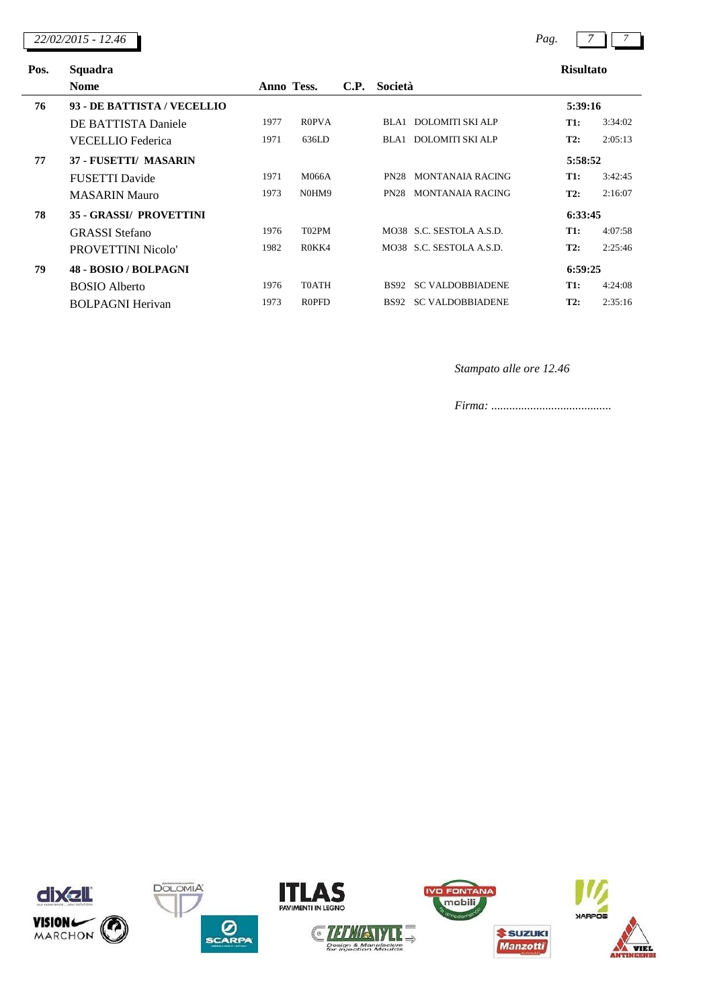*22/02/2015 - 12.46 Pag. 7 7*

| , |  |
|---|--|
|   |  |

|  | Rienltotc |  |  |
|--|-----------|--|--|

| Pos. | Squadra                        | <b>Risultato</b> |                                |      |             |                          |            |         |
|------|--------------------------------|------------------|--------------------------------|------|-------------|--------------------------|------------|---------|
|      | <b>Nome</b>                    | Anno Tess.       |                                | C.P. | Società     |                          |            |         |
| 76   | 93 - DE BATTISTA / VECELLIO    |                  |                                |      |             |                          | 5:39:16    |         |
|      | DE BATTISTA Daniele            | 1977             | R <sub>0</sub> PV <sub>A</sub> |      | BLA1        | DOLOMITI SKI ALP         | T1:        | 3:34:02 |
|      | VECELLIO Federica              | 1971             | 636LD                          |      |             | BLA1 DOLOMITI SKI ALP    | T2:        | 2:05:13 |
| 77   | 37 - FUSETTI/ MASARIN          |                  |                                |      |             |                          | 5:58:52    |         |
|      | FUSETTI Davide                 | 1971             | M066A                          |      | <b>PN28</b> | MONTANAIA RACING         | <b>T1:</b> | 3:42:45 |
|      | <b>MASARIN Mauro</b>           | 1973             | N0HM9                          |      | <b>PN28</b> | <b>MONTANAIA RACING</b>  | T2:        | 2:16:07 |
| 78   | <b>35 - GRASSI/ PROVETTINI</b> |                  |                                |      |             |                          | 6:33:45    |         |
|      | <b>GRASSI</b> Stefano          | 1976             | T <sub>0</sub> 2PM             |      |             | MO38 S.C. SESTOLA A.S.D. | <b>T1:</b> | 4:07:58 |
|      | PROVETTINI Nicolo'             | 1982             | R <sub>0</sub> KK <sub>4</sub> |      |             | MO38 S.C. SESTOLA A.S.D. | T2:        | 2:25:46 |
| 79   | 48 - BOSIO / BOLPAGNI          |                  |                                |      |             |                          | 6:59:25    |         |
|      | <b>BOSIO</b> Alberto           | 1976             | <b>TOATH</b>                   |      | <b>BS92</b> | <b>SC VALDOBBIADENE</b>  | T1:        | 4:24:08 |
|      | <b>BOLPAGNI Herivan</b>        | 1973             | <b>R0PFD</b>                   |      | <b>BS92</b> | <b>SC VALDOBBIADENE</b>  | T2:        | 2:35:16 |

*Stampato alle ore 12.46*









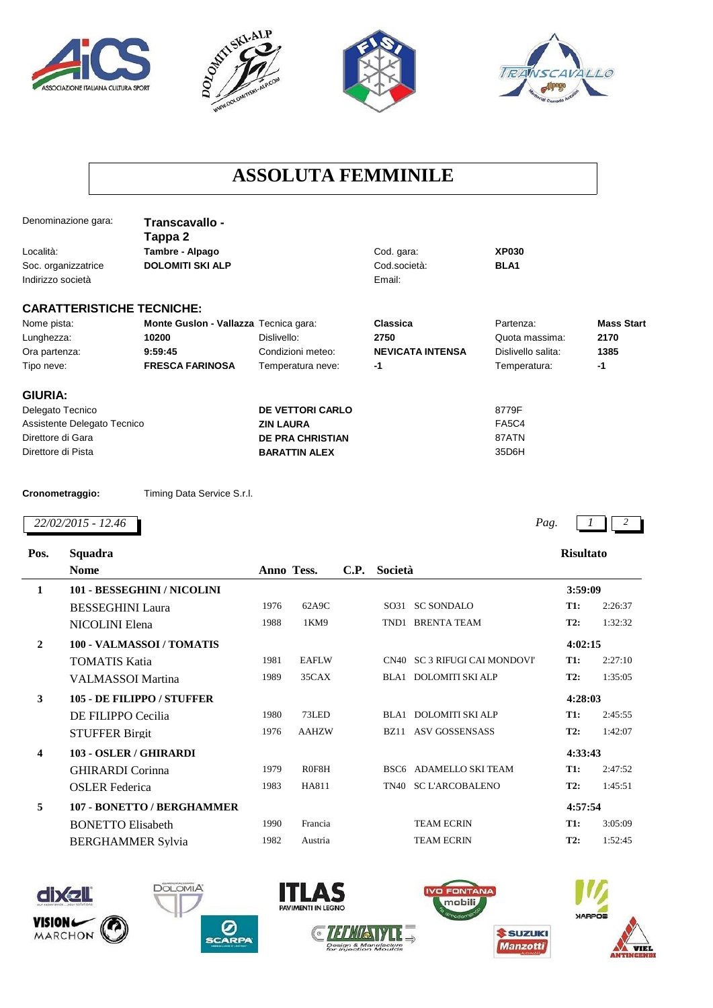







## **ASSOLUTA FEMMINILE**

|                     | Denominazione gara:              | Transcavallo -<br>Tappa 2             |                         |                         |                    |                   |
|---------------------|----------------------------------|---------------------------------------|-------------------------|-------------------------|--------------------|-------------------|
| Località:           |                                  | Tambre - Alpago                       |                         | Cod. gara:              | <b>XP030</b>       |                   |
| Soc. organizzatrice |                                  | <b>DOLOMITI SKI ALP</b>               |                         | Cod.società:            | BLA <sub>1</sub>   |                   |
| Indirizzo società   |                                  |                                       |                         | Email:                  |                    |                   |
|                     | <b>CARATTERISTICHE TECNICHE:</b> |                                       |                         |                         |                    |                   |
| Nome pista:         |                                  | Monte Guslon - Vallazza Tecnica gara: |                         | Classica                | Partenza:          | <b>Mass Start</b> |
| Lunghezza:          |                                  | 10200                                 | Dislivello:             | 2750                    | Quota massima:     | 2170              |
| Ora partenza:       |                                  | 9:59:45                               | Condizioni meteo:       | <b>NEVICATA INTENSA</b> | Dislivello salita: | 1385              |
| Tipo neve:          |                                  | <b>FRESCA FARINOSA</b>                | Temperatura neve:       | -1                      | Temperatura:       | $-1$              |
| <b>GIURIA:</b>      |                                  |                                       |                         |                         |                    |                   |
| Delegato Tecnico    |                                  |                                       | <b>DE VETTORI CARLO</b> |                         | 8779F              |                   |
|                     | Assistente Delegato Tecnico      |                                       | <b>ZIN LAURA</b>        |                         | <b>FA5C4</b>       |                   |
| Direttore di Gara   |                                  |                                       | <b>DE PRA CHRISTIAN</b> |                         | 87ATN              |                   |
| Direttore di Pista  |                                  |                                       | <b>BARATTIN ALEX</b>    |                         | 35D6H              |                   |
| Cronometraggio:     |                                  | Timing Data Service S.r.l.            |                         |                         |                    |                   |
|                     | 22/02/2015 - 12.46               |                                       |                         |                         | Pag.               |                   |
| Pos.                | Squadra                          |                                       |                         |                         | <b>Risultato</b>   |                   |
|                     | <b>Nome</b>                      |                                       | Anno Tess.<br>C.P.      | Società                 |                    |                   |
| 1                   |                                  | 101 - BESSEGHINI / NICOLINI           |                         |                         | 3:59:09            |                   |

|                         | <b>BESSEGHINI Laura</b>           | 1976 | 62A9C        |      | SO31 SC SONDALO               | <b>T1:</b> | 2:26:37 |
|-------------------------|-----------------------------------|------|--------------|------|-------------------------------|------------|---------|
|                         | NICOLINI Elena                    | 1988 | 1KM9         |      | TND1 BRENTA TEAM              | T2:        | 1:32:32 |
| $\overline{2}$          | 100 - VALMASSOI / TOMATIS         |      |              |      |                               | 4:02:15    |         |
|                         | TOMATIS Katia                     | 1981 | <b>EAFLW</b> |      | CN40 SC 3 RIFUGI CAI MONDOVI' | <b>T1:</b> | 2:27:10 |
|                         | VALMASSOI Martina                 | 1989 | 35CAX        |      | BLA1 DOLOMITI SKI ALP         | T2:        | 1:35:05 |
| 3                       | <b>105 - DE FILIPPO / STUFFER</b> |      |              |      |                               | 4:28:03    |         |
|                         | DE FILIPPO Cecilia                | 1980 | 73LED        |      | BLA1 DOLOMITI SKI ALP         | <b>T1:</b> | 2:45:55 |
|                         | <b>STUFFER Birgit</b>             | 1976 | <b>AAHZW</b> | BZ11 | <b>ASV GOSSENSASS</b>         | T2:        | 1:42:07 |
| $\overline{\mathbf{4}}$ | 103 - OSLER / GHIRARDI            |      |              |      |                               | 4:33:43    |         |
|                         | <b>GHIRARDI</b> Corinna           | 1979 | R0F8H        |      | BSC6 ADAMELLO SKI TEAM        | <b>T1:</b> | 2:47:52 |
|                         | <b>OSLER</b> Federica             | 1983 | HA811        |      | TN40 SC L'ARCOBALENO          | T2:        | 1:45:51 |
| 5                       | 107 - BONETTO / BERGHAMMER        |      |              |      |                               | 4:57:54    |         |
|                         | <b>BONETTO Elisabeth</b>          | 1990 | Francia      |      | <b>TEAM ECRIN</b>             | T1:        | 3:05:09 |
|                         | <b>BERGHAMMER Sylvia</b>          | 1982 | Austria      |      | <b>TEAM ECRIN</b>             | T2:        | 1:52:45 |
|                         |                                   |      |              |      |                               |            |         |







**DOLOMIA** 



**ITLAS** 



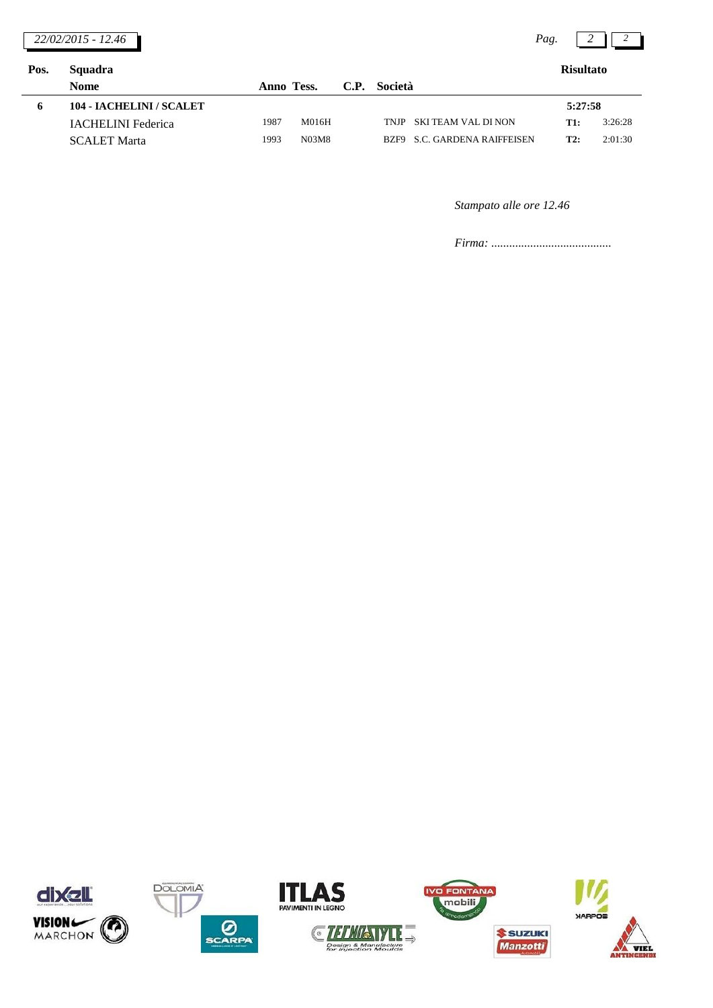|      | 22/02/2015 - 12.46        |            |       |      |             |                                | Pag. |                  |         |
|------|---------------------------|------------|-------|------|-------------|--------------------------------|------|------------------|---------|
| Pos. | Squadra                   |            |       |      |             |                                |      | <b>Risultato</b> |         |
|      | <b>Nome</b>               | Anno Tess. |       | C.P. | Società     |                                |      |                  |         |
| 6    | 104 - IACHELINI / SCALET  |            |       |      |             |                                |      | 5:27:58          |         |
|      | <b>IACHELINI</b> Federica | 1987       | M016H |      | <b>TNJP</b> | <b>SKI TEAM VAL DI NON</b>     |      | <b>T1:</b>       | 3:26:28 |
|      | <b>SCALET Marta</b>       | 1993       | N03M8 |      | BZF9        | <b>S.C. GARDENA RAIFFEISEN</b> |      | <b>T2:</b>       | 2:01:30 |

*Stampato alle ore 12.46*









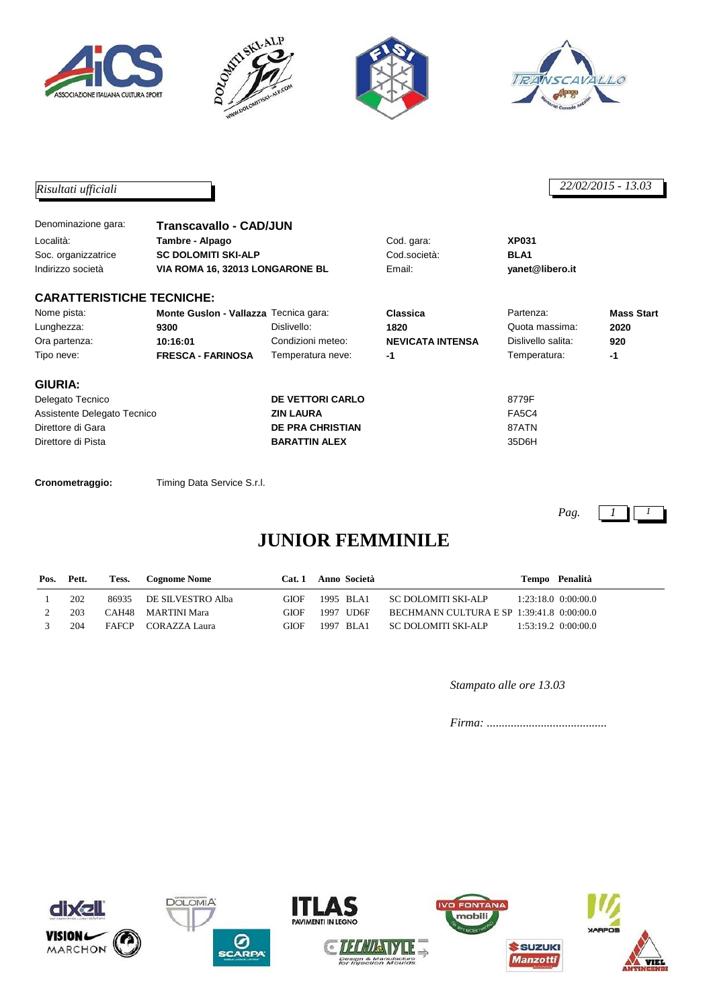







## *Risultati ufficiali 22/02/2015 - 13.03*

| Denominazione gara:<br>Località:<br>Soc. organizzatrice<br>Indirizzo società | Transcavallo - CAD/JUN<br>Tambre - Alpago<br><b>SC DOLOMITI SKI-ALP</b><br>VIA ROMA 16, 32013 LONGARONE BL |                         | Cod. gara:<br>Cod.società:<br>Email: | <b>XP031</b><br>BLA <sub>1</sub><br>yanet@libero.it |                   |  |
|------------------------------------------------------------------------------|------------------------------------------------------------------------------------------------------------|-------------------------|--------------------------------------|-----------------------------------------------------|-------------------|--|
| <b>CARATTERISTICHE TECNICHE:</b>                                             |                                                                                                            |                         |                                      |                                                     |                   |  |
| Nome pista:                                                                  | Monte Guslon - Vallazza Tecnica gara:                                                                      |                         | Classica                             | Partenza:                                           | <b>Mass Start</b> |  |
| Lunghezza:                                                                   | 9300                                                                                                       | Dislivello:             | 1820                                 | Quota massima:                                      | 2020              |  |
| Ora partenza:                                                                | 10:16:01                                                                                                   | Condizioni meteo:       | <b>NEVICATA INTENSA</b>              | Dislivello salita:                                  | 920               |  |
| Tipo neve:                                                                   | <b>FRESCA - FARINOSA</b><br>Temperatura neve:                                                              |                         | -1                                   | Temperatura:                                        | $-1$              |  |
| <b>GIURIA:</b>                                                               |                                                                                                            |                         |                                      |                                                     |                   |  |
| Delegato Tecnico                                                             |                                                                                                            | DE VETTORI CARLO        |                                      | 8779F                                               |                   |  |
| Assistente Delegato Tecnico                                                  |                                                                                                            | <b>ZIN LAURA</b>        |                                      | FA5C4                                               |                   |  |
| Direttore di Gara                                                            |                                                                                                            | <b>DE PRA CHRISTIAN</b> |                                      | 87ATN                                               |                   |  |
| Direttore di Pista                                                           |                                                                                                            | <b>BARATTIN ALEX</b>    |                                      | 35D6H                                               |                   |  |

**Cronometraggio:** Timing Data Service S.r.l.

*Pag. 1 1*

# **JUNIOR FEMMINILE**

| Pos. | Pett. | Tess.        | Cognome Nome       | Cat. 1      | Anno Società |                                           | Tempo Penalità          |
|------|-------|--------------|--------------------|-------------|--------------|-------------------------------------------|-------------------------|
|      | 202   | 86935        | DE SILVESTRO Alba  | <b>GIOF</b> | 1995 BLA1    | SC DOLOMITI SKI-ALP                       | $1:23:18.0$ $0:00:00.0$ |
|      | 203   |              | CAH48 MARTINI Mara | <b>GIOF</b> | 1997 UD6F    | BECHMANN CULTURA E SP 1:39:41.8 0:00:00.0 |                         |
|      | 204   | <b>FAFCP</b> | CORAZZA Laura      | <b>GIOF</b> | 1997 BLA1    | SC DOLOMITI SKI-ALP                       | $1:53:19.2$ $0:00:00.0$ |

#### *Stampato alle ore 13.03*

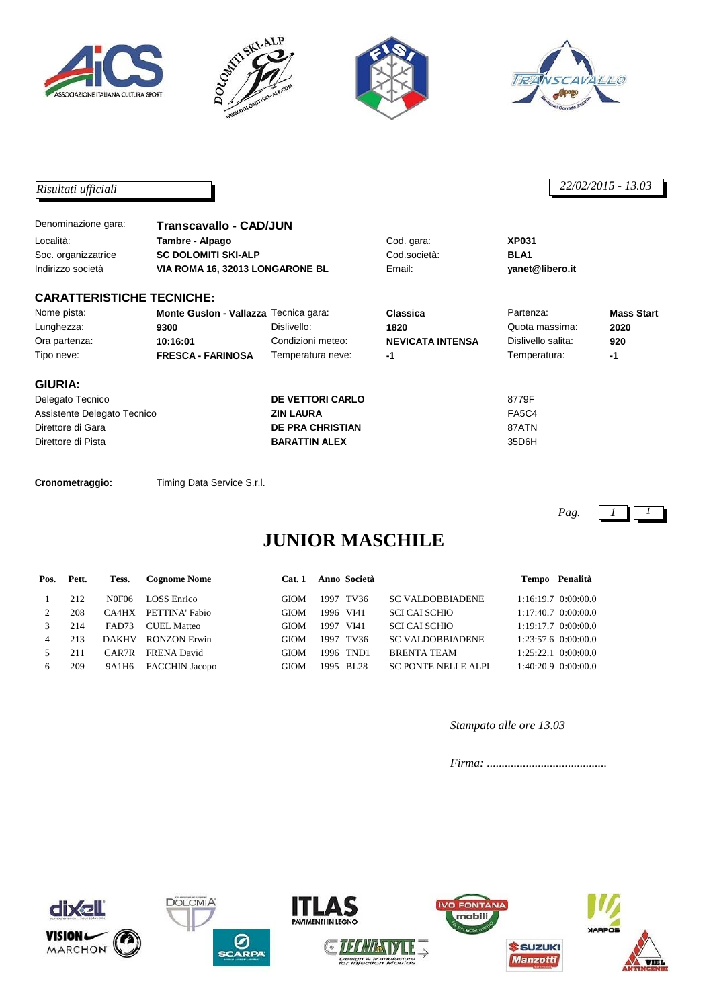







## *Risultati ufficiali 22/02/2015 - 13.03*

| Denominazione gara:              | Transcavallo - CAD/JUN                        |                         |                         |                    |                   |  |
|----------------------------------|-----------------------------------------------|-------------------------|-------------------------|--------------------|-------------------|--|
| Località:                        | Tambre - Alpago                               |                         | Cod. gara:              | <b>XP031</b>       |                   |  |
| Soc. organizzatrice              | <b>SC DOLOMITI SKI-ALP</b>                    |                         | Cod.società:            | BLA <sub>1</sub>   |                   |  |
| Indirizzo società                | VIA ROMA 16, 32013 LONGARONE BL               |                         | Email:                  |                    |                   |  |
| <b>CARATTERISTICHE TECNICHE:</b> |                                               |                         |                         |                    |                   |  |
| Nome pista:                      | Monte Guslon - Vallazza Tecnica gara:         |                         | Classica                | Partenza:          | <b>Mass Start</b> |  |
| Lunghezza:                       | 9300                                          | Dislivello:             | 1820                    | Quota massima:     | 2020              |  |
| Ora partenza:                    | 10:16:01                                      | Condizioni meteo:       | <b>NEVICATA INTENSA</b> | Dislivello salita: | 920               |  |
| Tipo neve:                       | <b>FRESCA - FARINOSA</b><br>Temperatura neve: |                         | $-1$                    | Temperatura:       | -1                |  |
| <b>GIURIA:</b>                   |                                               |                         |                         |                    |                   |  |
| Delegato Tecnico                 |                                               | <b>DE VETTORI CARLO</b> |                         | 8779F              |                   |  |
| Assistente Delegato Tecnico      |                                               | <b>ZIN LAURA</b>        |                         | <b>FA5C4</b>       |                   |  |
| Direttore di Gara                |                                               | <b>DE PRA CHRISTIAN</b> |                         | 87ATN              |                   |  |
| Direttore di Pista               |                                               | <b>BARATTIN ALEX</b>    |                         | 35D6H              |                   |  |

**Cronometraggio:** Timing Data Service S.r.l.

*Pag. 1 1*

# **JUNIOR MASCHILE**

| Pos. | Pett. | Tess.        | <b>Cognome Nome</b>   | Cat.1       | Anno Società |                            | Tempo Penalità          |
|------|-------|--------------|-----------------------|-------------|--------------|----------------------------|-------------------------|
|      | 212   | N0F06        | <b>LOSS</b> Enrico    | GIOM        | 1997 TV36    | <b>SC VALDOBBIADENE</b>    | $1:16:19.7$ 0:00:00.0   |
|      | 208   | CA4HX        | PETTINA' Fabio        | <b>GIOM</b> | 1996 VI41    | SCI CAI SCHIO              | $1:17:40.7$ 0:00:00.0   |
|      | 214   | FAD73        | CUEL Matteo           | GIOM        | 1997 VI41    | SCI CAI SCHIO              | $1:19:17.7$ $0:00:00.0$ |
| 4    | 213   | <b>DAKHV</b> | <b>RONZON Erwin</b>   | <b>GIOM</b> | 1997 TV36    | <b>SC VALDOBBIADENE</b>    | $1:23:57.6$ 0:00:00.0   |
|      | 2.11  | CAR7R        | <b>FRENA David</b>    | <b>GIOM</b> | 1996 TND1    | <b>BRENTA TEAM</b>         | $1:25:22.1$ $0:00:00.0$ |
| 6    | 209   | 9A1H6        | <b>FACCHIN Jacopo</b> | <b>GIOM</b> | 1995 BL28    | <b>SC PONTE NELLE ALPI</b> | $1:40:20.9$ $0:00:00.0$ |

*Stampato alle ore 13.03*